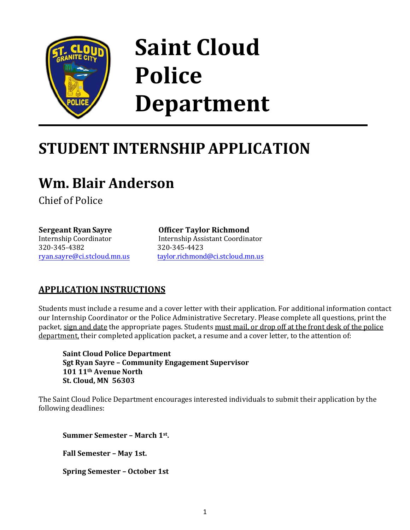

# **Saint Cloud Police Department**

## **STUDENT INTERNSHIP APPLICATION**

### **Wm. Blair Anderson**

Chief of Police

**Sergeant Ryan Sayre** Internship Coordinator 320-345-4382 ryan.sayre[@ci.stcloud.mn.us](mailto:mark.moline@ci.stcloud.mn.us) **Officer Taylor Richmond**

Internship Assistant Coordinator 320-345-4423 taylor.richmond[@ci.stcloud.mn.u](mailto:leeann.justin@ci.stcloud.mn.us)s

### **APPLICATION INSTRUCTIONS**

Students must include a resume and a cover letter with their application. For additional information contact our Internship Coordinator or the Police Administrative Secretary. Please complete all questions, print the packet, sign and date the appropriate pages. Students must mail, or drop off at the front desk of the police department, their completed application packet, a resume and a cover letter, to the attention of:

**Saint Cloud Police Department Sgt Ryan Sayre – Community Engagement Supervisor 101 11th Avenue North St. Cloud, MN 56303**

The Saint Cloud Police Department encourages interested individuals to submit their application by the following deadlines:

**Summer Semester – March 1st .** 

**Fall Semester – May 1st.**

**Spring Semester – October 1st**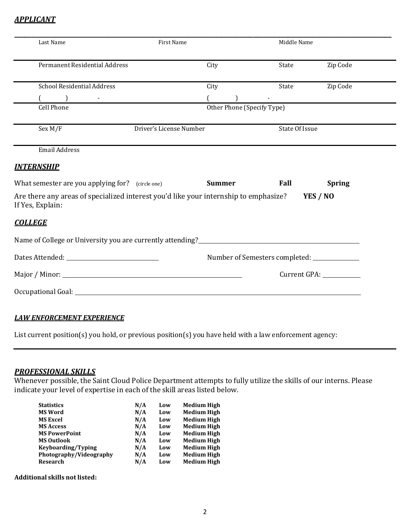#### *APPLICANT*

|                                                | First Name                                                                           |                            | Middle Name                                   |               |
|------------------------------------------------|--------------------------------------------------------------------------------------|----------------------------|-----------------------------------------------|---------------|
| Permanent Residential Address                  |                                                                                      | City                       | State                                         | Zip Code      |
| <b>School Residential Address</b>              |                                                                                      | City                       | State                                         | Zip Code      |
| $\begin{pmatrix} 1 & 1 \\ 1 & 1 \end{pmatrix}$ |                                                                                      |                            |                                               |               |
| <b>Cell Phone</b>                              |                                                                                      | Other Phone (Specify Type) |                                               |               |
| Sex M/F                                        | Driver's License Number                                                              |                            | State Of Issue                                |               |
| <b>Email Address</b>                           |                                                                                      |                            |                                               |               |
| <u>INTERNSHIP</u>                              |                                                                                      |                            |                                               |               |
|                                                | What semester are you applying for? (circle one)                                     | <b>Summer</b>              | Fall                                          | <b>Spring</b> |
|                                                |                                                                                      |                            |                                               |               |
| If Yes, Explain:                               | Are there any areas of specialized interest you'd like your internship to emphasize? |                            |                                               | YES / NO      |
| <b>COLLEGE</b>                                 |                                                                                      |                            |                                               |               |
|                                                |                                                                                      |                            |                                               |               |
|                                                |                                                                                      |                            | Number of Semesters completed: ______________ |               |
|                                                |                                                                                      |                            |                                               |               |

#### *LAW ENFORCEMENT EXPERIENCE*

List current position(s) you hold, or previous position(s) you have held with a law enforcement agency:

#### *PROFESSIONAL SKILLS*

Whenever possible, the Saint Cloud Police Department attempts to fully utilize the skills of our interns. Please indicate your level of expertise in each of the skill areas listed below.

| <b>Statistics</b>       | N/A | Low | <b>Medium High</b> |
|-------------------------|-----|-----|--------------------|
| <b>MS Word</b>          | N/A | Low | <b>Medium High</b> |
| <b>MS Excel</b>         | N/A | Low | <b>Medium High</b> |
| <b>MS Access</b>        | N/A | Low | <b>Medium High</b> |
| <b>MS PowerPoint</b>    | N/A | Low | <b>Medium High</b> |
| <b>MS Outlook</b>       | N/A | Low | <b>Medium High</b> |
| Keyboarding/Typing      | N/A | Low | <b>Medium High</b> |
| Photography/Videography | N/A | Low | <b>Medium High</b> |
| Research                | N/A | Low | <b>Medium High</b> |

**Additional skills not listed:**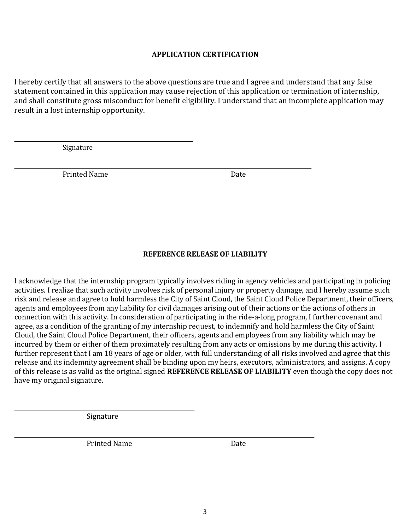#### **APPLICATION CERTIFICATION**

I hereby certify that all answers to the above questions are true and I agree and understand that any false statement contained in this application may cause rejection of this application or termination of internship, and shall constitute gross misconduct for benefit eligibility. I understand that an incomplete application may result in a lost internship opportunity.

Signature

Printed Name Date

#### **REFERENCE RELEASE OF LIABILITY**

I acknowledge that the internship program typically involves riding in agency vehicles and participating in policing activities. I realize that such activity involves risk of personal injury or property damage, and I hereby assume such risk and release and agree to hold harmless the City of Saint Cloud, the Saint Cloud Police Department, their officers, agents and employees from any liability for civil damages arising out of their actions or the actions of others in connection with this activity. In consideration of participating in the ride-a-long program, I further covenant and agree, as a condition of the granting of my internship request, to indemnify and hold harmless the City of Saint Cloud, the Saint Cloud Police Department, their officers, agents and employees from any liability which may be incurred by them or either of them proximately resulting from any acts or omissions by me during this activity. I further represent that I am 18 years of age or older, with full understanding of all risks involved and agree that this release and its indemnity agreement shall be binding upon my heirs, executors, administrators, and assigns. A copy of this release is as valid as the original signed **REFERENCE RELEASE OF LIABILITY** even though the copy does not have my original signature.

Signature

Printed Name Date